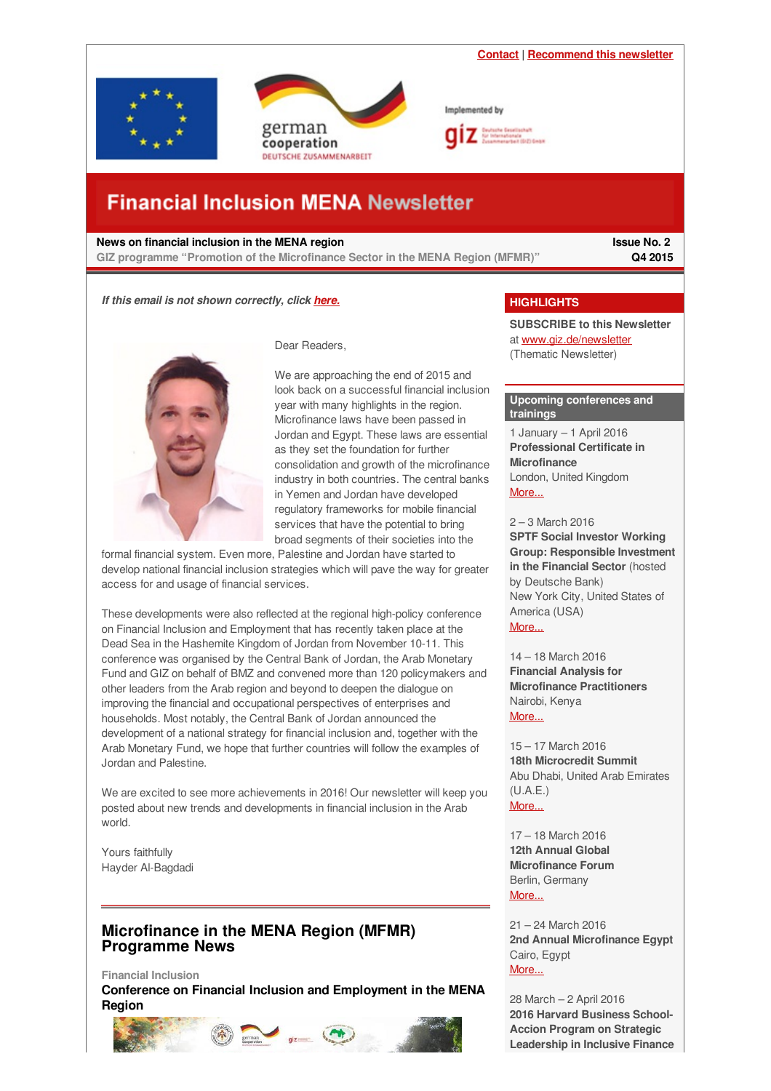

<span id="page-0-1"></span>



Implemented by

# **Financial Inclusion MENA Newsletter**

### <span id="page-0-0"></span>**News on financial inclusion in the MENA region**

**GIZ programme "Promotion of the Microfinance Sector in the MENA Region (MFMR)"**

**Issue No. 2 Q4 2015**

*If this email is not shown correctly, click [here.](https://login.mailingwork.de/-link2/1593/2177/633/0/120623/sMLFGPjR/3XrhqyY7g4/0)*



Dear Readers,

We are approaching the end of 2015 and look back on a successful financial inclusion year with many highlights in the region. Microfinance laws have been passed in Jordan and Egypt. These laws are essential as they set the foundation for further consolidation and growth of the microfinance industry in both countries. The central banks in Yemen and Jordan have developed regulatory frameworks for mobile financial services that have the potential to bring broad segments of their societies into the

formal financial system. Even more, Palestine and Jordan have started to develop national financial inclusion strategies which will pave the way for greater access for and usage of financial services.

These developments were also reflected at the regional high-policy conference on Financial Inclusion and Employment that has recently taken place at the Dead Sea in the Hashemite Kingdom of Jordan from November 10-11. This conference was organised by the Central Bank of Jordan, the Arab Monetary Fund and GIZ on behalf of BMZ and convened more than 120 policymakers and other leaders from the Arab region and beyond to deepen the dialogue on improving the financial and occupational perspectives of enterprises and households. Most notably, the Central Bank of Jordan announced the development of a national strategy for financial inclusion and, together with the Arab Monetary Fund, we hope that further countries will follow the examples of Jordan and Palestine.

We are excited to see more achievements in 2016! Our newsletter will keep you posted about new trends and developments in financial inclusion in the Arab world.

Yours faithfully Hayder Al-Bagdadi

# **Microfinance in the MENA Region (MFMR) Programme News**

**Financial Inclusion**

**Conference on Financial Inclusion and Employment in the MENA Region**



### **HIGHLIGHTS**

**SUBSCRIBE to this Newsletter** at [www.giz.de/newsletter](http://www.giz.de/en/mediacenter/117.html) (Thematic Newsletter)

#### **Upcoming conferences and trainings**

1 January – 1 April 2016 **Professional Certificate in Microfinance** London, United Kingdom [More...](http://www.microfinancegateway.org/sites/default/files/event_files/pcmf2015_0.pdf)

2 – 3 March 2016

**SPTF Social Investor Working Group: Responsible Investment in the Financial Sector** (hosted by Deutsche Bank) New York City, United States of America (USA) More

14 – 18 March 2016 **Financial Analysis for Microfinance Practitioners** Nairobi, Kenya [More...](http://www.microfinancegateway.org/training-events/financial-analysis-microfinance-practitione)

15 – 17 March 2016 **18th Microcredit Summit** Abu Dhabi, United Arab Emirates (U.A.E.) [More...](http://18microcreditsummit.org/)

17 – 18 March 2016 **12th Annual Global Microfinance Forum** Berlin, Germany [More...](http://www.uni-global.eu/en/event/2016-195)

21 – 24 March 2016 **2nd Annual Microfinance Egypt** Cairo, Egypt [More...](http://www.microfinanceegypt.com/?utm_source=microfinancegateway&utm_medium=mediapartner&utm_campaign=-external-diarylisting&utm_term=homepage&utm_content=text&mac=24796.002_mfgateway_dl_eng&disc=24796.002_mfgateway_dl_eng)

28 March – 2 April 2016 **2016 Harvard Business School-Accion Program on Strategic Leadership in Inclusive Finance**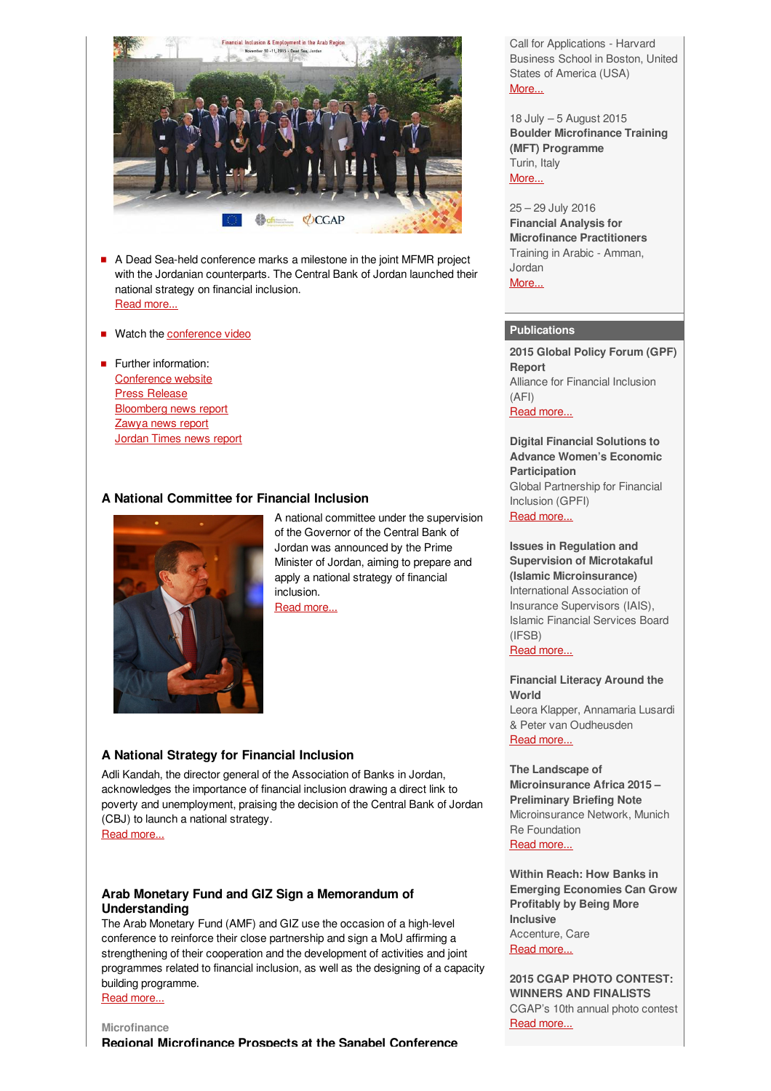

- A Dead Sea-held conference marks a milestone in the joint MFMR project with the Jordanian counterparts. The Central Bank of Jordan launched their national strategy on financial inclusion. Read [more...](http://www.financialinclusion-conference.org/policymakers-financial-experts-financial-inclusion-arab-region/)
- Watch the [conference](https://www.youtube.com/watch?v=7JKZTjkEnjg&feature=youtu.be) video
- **Further information:** [Conference](http://www.financialinclusion-conference.org/) website Press [Release](http://www.financialinclusion-conference.org/wp-content/uploads/20151109-CBJ-GIZ-AMF-Press-Release-V10.pdf) [Bloomberg](http://www.bloomberg.com/research/markets/news/article.asp?docKey=600-201511112359KRTRIB__BUSNEWS_43361_1027-1) news report [Zawya](https://www.zawya.com/story/Central_Bank_of_Jordan_Arab_Monetary_Fund_and_GIZ_Organize_the_HighLevel_conference_about_Financial_Inclusion_and_Employment_in_the_Arab_Region-ZAWYA20151109143735/) news report [Jordan](http://www.jordantimes.com/news/business/experts-discuss-financial-inclusion-employment-arab-region) Times news report

# **A National Committee for Financial Inclusion**



A national committee under the supervision of the Governor of the Central Bank of Jordan was announced by the Prime Minister of Jordan, aiming to prepare and apply a national strategy of financial inclusion. Read [more...](http://www.sanabelnetwork.org/News/NewsDetails.aspx?id=1620)

# **A National Strategy for Financial Inclusion**

Adli Kandah, the director general of the Association of Banks in Jordan, acknowledges the importance of financial inclusion drawing a direct link to poverty and unemployment, praising the decision of the Central Bank of Jordan (CBJ) to launch a national strategy.

Read [more...](http://www.jordantimes.com/opinion/adli-kandah/national-strategy-financial-inclusion)

## **Arab Monetary Fund and GIZ Sign a Memorandum of Understanding**

The Arab Monetary Fund (AMF) and GIZ use the occasion of a high-level conference to reinforce their close partnership and sign a MoU affirming a strengthening of their cooperation and the development of activities and joint programmes related to financial inclusion, as well as the designing of a capacity building programme.

Read [more...](http://amf.org.ae/content/arab-monetary-fund-and-giz-reinforce-their-cooperation-providing-technical-advice-and)

### **Microfinance**

**Regional Microfinance Prospects at the Sanabel Conference**

Call for Applications - Harvard Business School in Boston, United States of America (USA) [More...](http://www.centerforfinancialinclusion.org/collaborators-a-sponsors/harvard-business-school-accion)

18 July – 5 August 2015 **Boulder Microfinance Training (MFT) Programme** Turin, Italy [More...](https://www.bouldermicrofinance.org/boulder/EN/MFT_EN)

25 – 29 July 2016 **Financial Analysis for Microfinance Practitioners** Training in Arabic - Amman, Jordan [More...](http://www.microfinancegateway.org/sites/default/files/event_files/cmpma_2.pdf)

#### **Publications**

**2015 Global Policy Forum (GPF) Report** Alliance for Financial Inclusion (AFI) Read [more...](http://www.afi-global.org/sites/default/files/publications/gpf2015_report_aw_low_res.pdf)

**Digital Financial Solutions to Advance Women's Economic Participation** Global Partnership for Financial Inclusion (GPFI)

Read [more...](http://www.microfinancegateway.org/library/digital-financial-solutions-advance-women%E2%80%99s-economic-participation)

**Issues in Regulation and Supervision of Microtakaful (Islamic Microinsurance)** International Association of Insurance Supervisors (IAIS), Islamic Financial Services Board (IFSB)

# Read [more...](http://www.microfinancegateway.org/library/issues-regulation-and-supervision-microtakaful-islamic-microinsurance)

# **Financial Literacy Around the World**

Leora Klapper, Annamaria Lusardi & Peter van Oudheusden Read [more...](http://www.microfinancegateway.org/library/financial-literacy-around-world)

#### **The Landscape of**

**Microinsurance Africa 2015 – Preliminary Briefing Note** Microinsurance Network, Munich Re Foundation Read [more...](http://www.microinsurancenetwork.org/sites/default/files/MIN-Africa Brief EN_A4.pdf)

**Within Reach: How Banks in Emerging Economies Can Grow Profitably by Being More Inclusive** Accenture, Care Read [more...](https://www.mfw4a.org/nc/knowledge-center/resources/documents/documents-details/file/within-reach-how-banks-in-emerging-economies-can-grow-profitably-by-being-more-inclusive.html)

**2015 CGAP PHOTO CONTEST: WINNERS AND FINALISTS** CGAP's 10th annual photo contest Read [more...](https://cgap.exposure.co/2015-cgap-photo-contest-winners-and-finalists)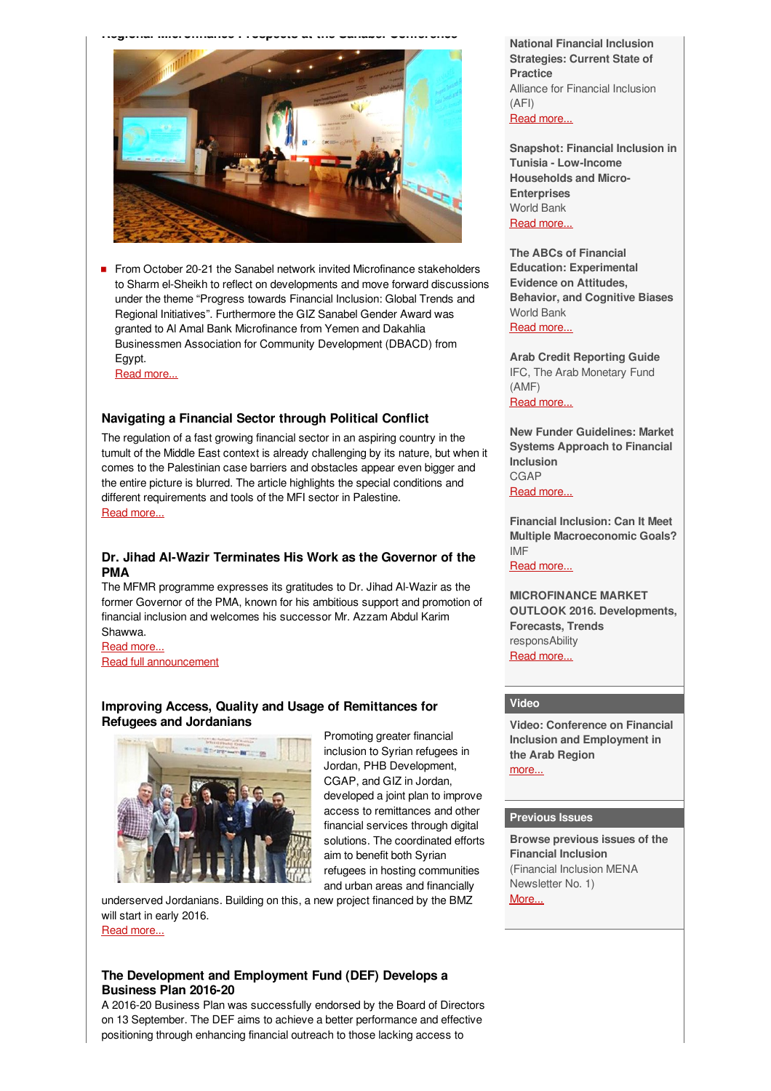**Regional Microfinance Prospects at the Sanabel Conference**



From October 20-21 the Sanabel network invited Microfinance stakeholders to Sharm el-Sheikh to reflect on developments and move forward discussions under the theme "Progress towards Financial Inclusion: Global Trends and Regional Initiatives". Furthermore the GIZ Sanabel Gender Award was granted to Al Amal Bank Microfinance from Yemen and Dakahlia Businessmen Association for Community Development (DBACD) from Egypt.

Read [more...](http://microfinance-mena.org/?page=Pages_Activities&id=6)

### **Navigating a Financial Sector through Political Conflict**

The regulation of a fast growing financial sector in an aspiring country in the tumult of the Middle East context is already challenging by its nature, but when it comes to the Palestinian case barriers and obstacles appear even bigger and the entire picture is blurred. The article highlights the special conditions and different requirements and tools of the MFI sector in Palestine. Read [more...](http://www.microfinance-mena.org/index.php?page=Pages_Activities&id=3)

### **Dr. Jihad Al-Wazir Terminates His Work as the Governor of the PMA**

The MFMR programme expresses its gratitudes to Dr. Jihad Al-Wazir as the former Governor of the PMA, known for his ambitious support and promotion of financial inclusion and welcomes his successor Mr. Azzam Abdul Karim Shawwa.

Read [more...](http://microfinance-mena.org/?page=Pages_Activities&id=3) Read full [announcement](http://www.pma.ps/Default.aspx?tabid=205&ArtMID=793&ArticleID=841&language=en-US)

### **Improving Access, Quality and Usage of Remittances for Refugees and Jordanians**



Promoting greater financial inclusion to Syrian refugees in Jordan, PHB Development, CGAP, and GIZ in Jordan, developed a joint plan to improve access to remittances and other financial services through digital solutions. The coordinated efforts aim to benefit both Syrian refugees in hosting communities and urban areas and financially

underserved Jordanians. Building on this, a new project financed by the BMZ will start in early 2016. Read [more...](http://www.e-mfp.eu/blog/coordinated-efforts-improve-remittances-syrian-refugees-jordan)

### **The Development and Employment Fund (DEF) Develops a Business Plan 2016-20**

A 2016-20 Business Plan was successfully endorsed by the Board of Directors on 13 September. The DEF aims to achieve a better performance and effective positioning through enhancing financial outreach to those lacking access to

**National Financial Inclusion Strategies: Current State of Practice** Alliance for Financial Inclusion (AFI) Read [more...](http://www.afi-global.org/sites/default/files/publications/fisplg-state_of_practice.pdf)

**Snapshot: Financial Inclusion in Tunisia - Low-Income Households and Micro-Enterprises** World Bank Read [more...](http://documents.worldbank.org/curated/en/2015/10/24865372/snapshot-financial-inclusion-tunisia-low-income-households-micro-enterprises)

**The ABCs of Financial Education: Experimental Evidence on Attitudes, Behavior, and Cognitive Biases** World Bank Read [more...](http://www-wds.worldbank.org/external/default/WDSContentServer/WDSP/IB/2015/09/15/090224b0830deaca/1_0/Rendered/PDF/The0ABCs0of0fi0and0cognitive0biases.pdf)

**Arab Credit Reporting Guide** IFC, The Arab Monetary Fund (AMF) Read [more...](http://www.ifc.org/wps/wcm/connect/851f4900488430f4bcc5fd299ede9589/Arab+Credit+Report+Guide-Final-Lowres.pdf?MOD=AJPERES)

**New Funder Guidelines: Market Systems Approach to Financial Inclusion** CGAP Read [more...](http://www.cgap.org/publications/new-funder-guidelines-market-systems-approach-financial-inclusion)

**Financial Inclusion: Can It Meet Multiple Macroeconomic Goals?** IMF

Read [more...](http://www.imf.org/external/pubs/ft/sdn/2015/sdn1517.pdf)

**MICROFINANCE MARKET OUTLOOK 2016. Developments, Forecasts, Trends** responsAbility Read [more...](http://www.responsability.com/investing/data/docs/en/17813/Microfinance-Outlook-2016-EN.pdf)

# **Video**

**Video: Conference on Financial Inclusion and Employment in the Arab Region** [more...](https://youtu.be/7JKZTjkEnjg)

### **Previous Issues**

**Browse previous issues of the Financial Inclusion** (Financial Inclusion MENA Newsletter No. 1) [More...](http://microfinance-mena.org/ckfinder/userfiles/files/MFMR NL 01.pdf)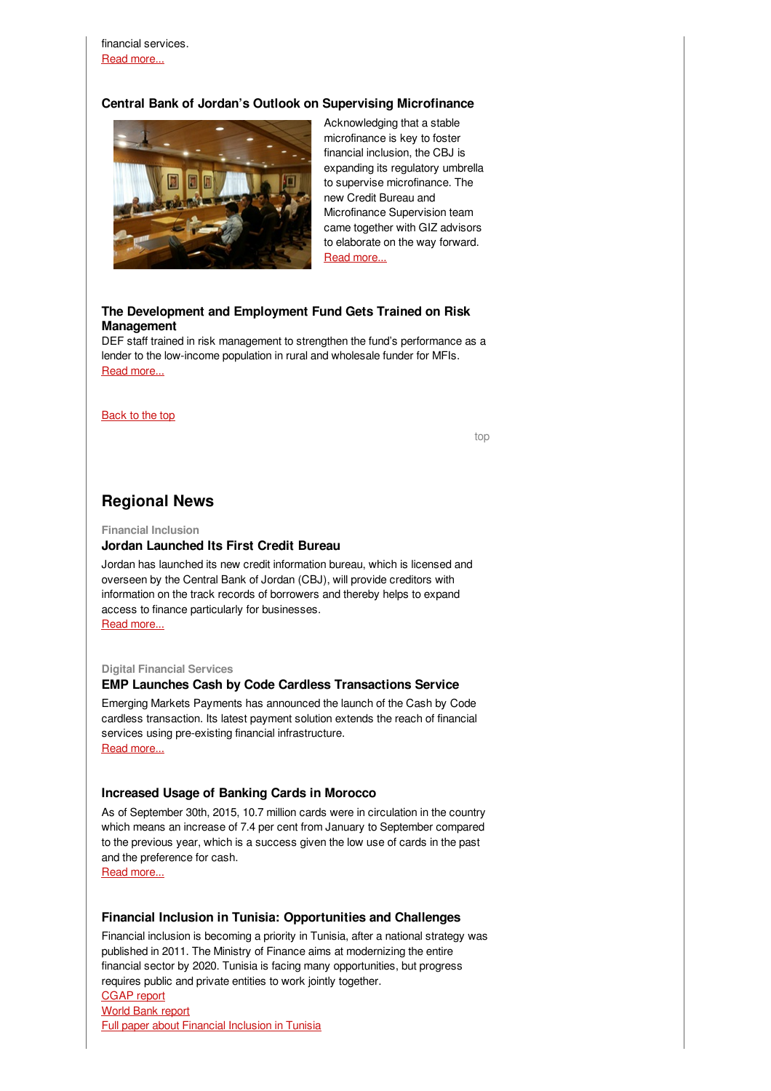financial services. Read [more...](http://www.microfinance-mena.org/index.php?page=Pages_Activities&id=2)

### **Central Bank of Jordan's Outlook on Supervising Microfinance**



Acknowledging that a stable microfinance is key to foster financial inclusion, the CBJ is expanding its regulatory umbrella to supervise microfinance. The new Credit Bureau and Microfinance Supervision team came together with GIZ advisors to elaborate on the way forward. Read [more...](http://microfinance-mena.org/?page=Pages_Activities&id=2)

### **The Development and Employment Fund Gets Trained on Risk Management**

DEF staff trained in risk management to strengthen the fund's performance as a lender to the low-income population in rural and wholesale funder for MFIs. Read [more...](http://microfinance-mena.org/?page=Pages_Activities&id=2)

#### [Back](#page-0-0) to the top

[top](#page-0-1)

# **Regional News**

**Financial Inclusion**

#### **Jordan Launched Its First Credit Bureau**

Jordan has launched its new credit information bureau, which is licensed and overseen by the Central Bank of Jordan (CBJ), will provide creditors with information on the track records of borrowers and thereby helps to expand access to finance particularly for businesses. Read [more...](http://www.jordantimes.com/news/local/privately-held-credit-info-bureau-inaugurated?platform=hootsuite)

#### **Digital Financial Services**

### **EMP Launches Cash by Code Cardless Transactions Service**

Emerging Markets Payments has announced the launch of the Cash by Code cardless transaction. Its latest payment solution extends the reach of financial services using pre-existing financial infrastructure. Read [more...](http://www.emp-group.com/releases/emp-launches-cash-by-code-cardless-transactions-service/)

#### **Increased Usage of Banking Cards in Morocco**

As of September 30th, 2015, 10.7 million cards were in circulation in the country which means an increase of 7.4 per cent from January to September compared to the previous year, which is a success given the low use of cards in the past and the preference for cash.

Read [more...](https://www.mfw4a.org/news/news-details/browse/3/article/7/morocco-bank-cards-up-74-per-cent-so-far-this-year.html)

### **Financial Inclusion in Tunisia: Opportunities and Challenges**

Financial inclusion is becoming a priority in Tunisia, after a national strategy was published in 2011. The Ministry of Finance aims at modernizing the entire financial sector by 2020. Tunisia is facing many opportunities, but progress requires public and private entities to work jointly together. [CGAP](http://www.cgap.org/blog/financial-inclusion-opportunities-and-challenges-tunisia) report

[World](http://www.worldbank.org/en/news/feature/2015/10/13/opportunities-and-challenges-for-expanding-financial-inclusion-in-tunisia) Bank report Full paper about [Financial](http://www.worldbank.org/en/country/tunisia/publication/financial-inclusion-in-tunisia) Inclusion in Tunisia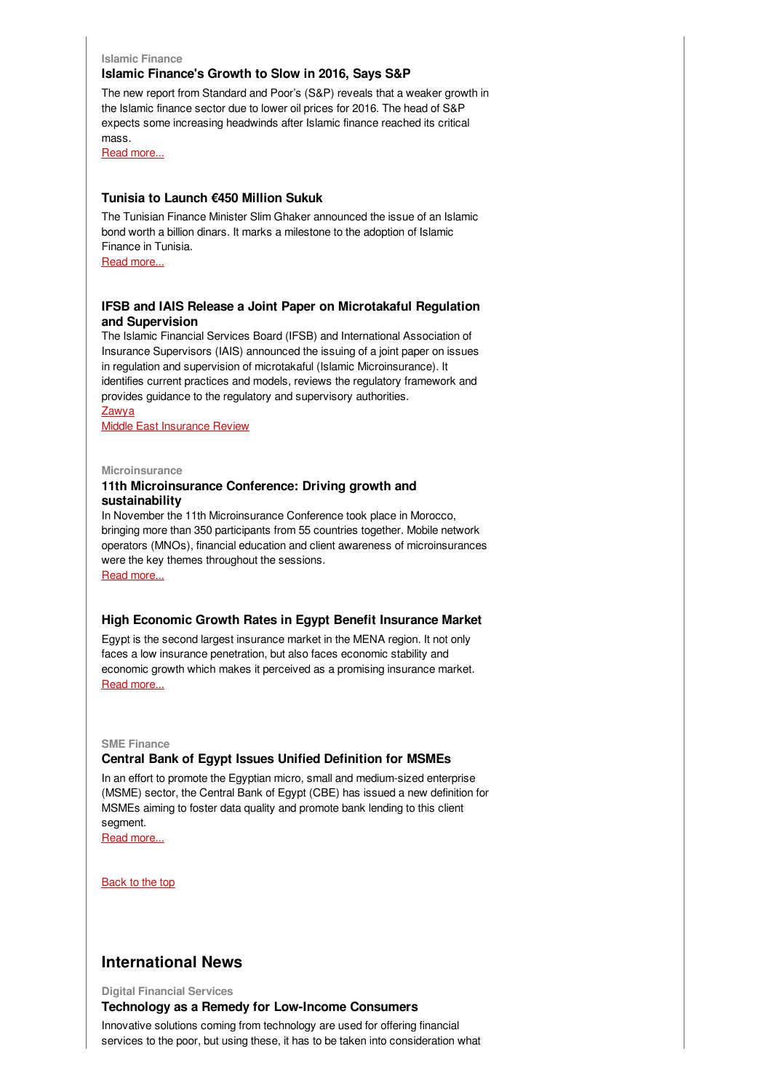#### **Islamic Finance**

# **Islamic Finance's Growth to Slow in 2016, Says S&P**

The new report from Standard and Poor's (S&P) reveals that a weaker growth in the Islamic finance sector due to lower oil prices for 2016. The head of S&P expects some increasing headwinds after Islamic finance reached its critical mass.

Read [more...](http://www.reuters.com/article/us-islam-financing-economy-idUSKCN0SE21U20151020#DypbgWdL8p5y2eDx.97)

# **Tunisia to Launch €450 Million Sukuk**

The Tunisian Finance Minister Slim Ghaker announced the issue of an Islamic bond worth a billion dinars. It marks a milestone to the adoption of Islamic Finance in Tunisia.

Read [more...](https://www.mfw4a.org/news/news-details/browse/9/article/7/tunisia-to-launch-EUR450-million-sukuk.html)

# **IFSB and IAIS Release a Joint Paper on Microtakaful Regulation and Supervision**

The Islamic Financial Services Board (IFSB) and International Association of Insurance Supervisors (IAIS) announced the issuing of a joint paper on issues in regulation and supervision of microtakaful (Islamic Microinsurance). It identifies current practices and models, reviews the regulatory framework and provides guidance to the regulatory and supervisory authorities.

[Zawya](https://www.zawya.com/story/The_IFSB_and_IAIS_Release_Joint_Paper_on_Issues_in_Regulation_and_Supervision_of_Microtakaful_Islamic_Microinsurance_Sector-ZAWYA20151118111634/)

Middle East [Insurance](http://www.meinsurancereview.com/News/View-NewsLetter-Article/id/34345/Type/MiddleEast/utm_source/Middle-East-New-Letter/utm_medium/Group-Email/utm_campaign/Enews-letter) Review

#### **Microinsurance**

### **11th Microinsurance Conference: Driving growth and sustainability**

In November the 11th Microinsurance Conference took place in Morocco, bringing more than 350 participants from 55 countries together. Mobile network operators (MNOs), financial education and client awareness of microinsurances were the key themes throughout the sessions.

Read [more...](http://www.microfinance-mena.org/?page=Pages_Activities&id=6)

# **High Economic Growth Rates in Egypt Benefit Insurance Market**

Egypt is the second largest insurance market in the MENA region. It not only faces a low insurance penetration, but also faces economic stability and economic growth which makes it perceived as a promising insurance market. Read [more...](http://www.dailynewsegypt.com/2015/11/03/high-economic-growth-rates-in-egypt-benefit-insurance-market-moodys-mena-analyst/)

### **SME Finance**

### **Central Bank of Egypt Issues Unified Definition for MSMEs**

In an effort to promote the Egyptian micro, small and medium-sized enterprise (MSME) sector, the Central Bank of Egypt (CBE) has issued a new definition for MSMEs aiming to foster data quality and promote bank lending to this client segment.

Read [more...](http://microfinance-mena.org/?page=Pages_Activities&id=1)

[Back](#page-0-0) to the top

# **International News**

#### **Digital Financial Services**

**Technology as a Remedy for Low-Income Consumers**

Innovative solutions coming from technology are used for offering financial services to the poor, but using these, it has to be taken into consideration what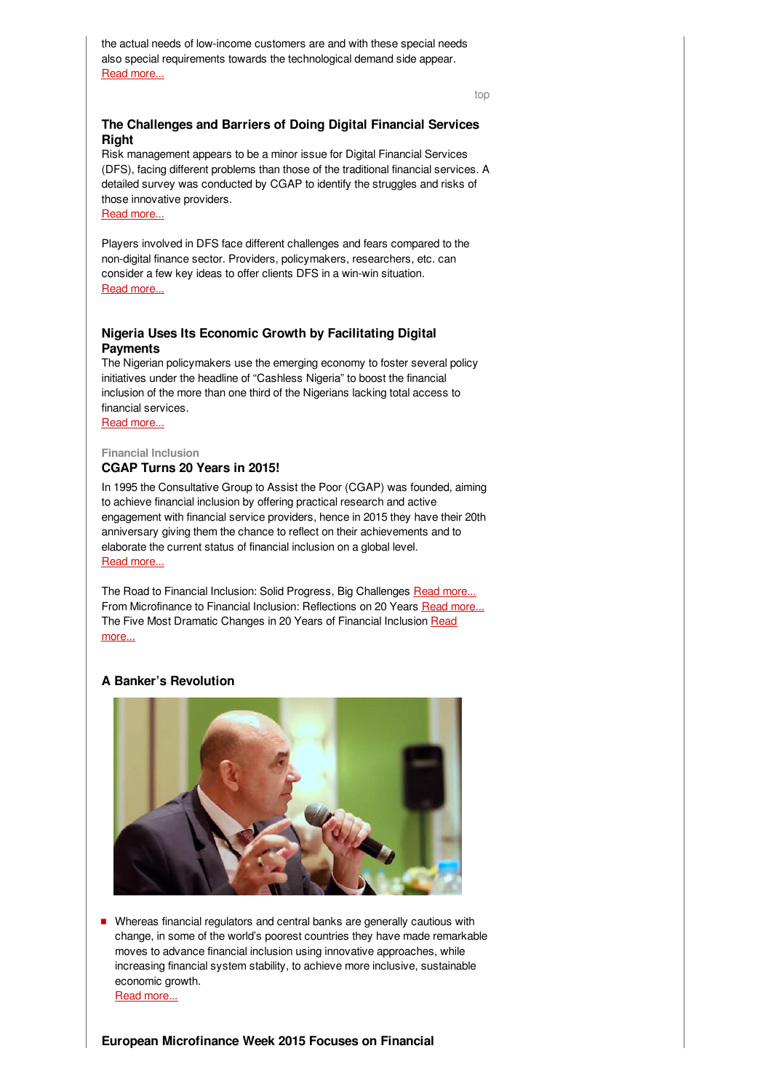the actual needs of low-income customers are and with these special needs also special requirements towards the technological demand side appear. Read [more...](http://www.cgap.org/blog/technology-must-solve-real-problems-low-income-customers)

[top](#page-0-1)

# **The Challenges and Barriers of Doing Digital Financial Services Right**

Risk management appears to be a minor issue for Digital Financial Services (DFS), facing different problems than those of the traditional financial services. A detailed survey was conducted by CGAP to identify the struggles and risks of those innovative providers.

Read [more...](http://www.cgap.org/blog/dfs-risk-%E2%80%9Cwhen-it-works-it%E2%80%99s-great-when-it%E2%80%99s-bad-it%E2%80%99s-awful)

Players involved in DFS face different challenges and fears compared to the non-digital finance sector. Providers, policymakers, researchers, etc. can consider a few key ideas to offer clients DFS in a win-win situation. Read [more...](http://www.cgap.org/blog/how-will-you-do-digital-finance-right)

# **Nigeria Uses Its Economic Growth by Facilitating Digital Payments**

The Nigerian policymakers use the emerging economy to foster several policy initiatives under the headline of "Cashless Nigeria" to boost the financial inclusion of the more than one third of the Nigerians lacking total access to financial services.

Read [more...](http://www.cgap.org/blog/cashless-nigeria-facilitating-transition-digital-payments)

### **Financial Inclusion**

### **CGAP Turns 20 Years in 2015!**

In 1995 the Consultative Group to Assist the Poor (CGAP) was founded, aiming to achieve financial inclusion by offering practical research and active engagement with financial service providers, hence in 2015 they have their 20th anniversary giving them the chance to reflect on their achievements and to elaborate the current status of financial inclusion on a global level. Read [more...](http://www.cgap.org/blog/series/cgap-20-years-financial-inclusion-progress)

The Road to Financial Inclusion: Solid Progress, Big Challenges Read [more...](http://www.cgap.org/blog/road-financial-inclusion-solid-progress-big-challenges) From Microfinance to Financial Inclusion: Reflections on 20 Years Read [more...](http://www.cgap.org/blog/microfinance-financial-inclusion-reflections-20-years) The Five Most [Dramatic](http://www.cgap.org/blog/five-most-dramatic-changes-20-years-financial-inclusion) Changes in 20 Years of Financial Inclusion Read more...

# **A Banker's Revolution**



■ Whereas financial regulators and central banks are generally cautious with change, in some of the world's poorest countries they have made remarkable moves to advance financial inclusion using innovative approaches, while increasing financial system stability, to achieve more inclusive, sustainable economic growth. Read [more...](https://www.project-syndicate.org/commentary/financial-inclusion-central-banks-by-alfred-hannig-1-2015-11)

# **European Microfinance Week 2015 Focuses on Financial**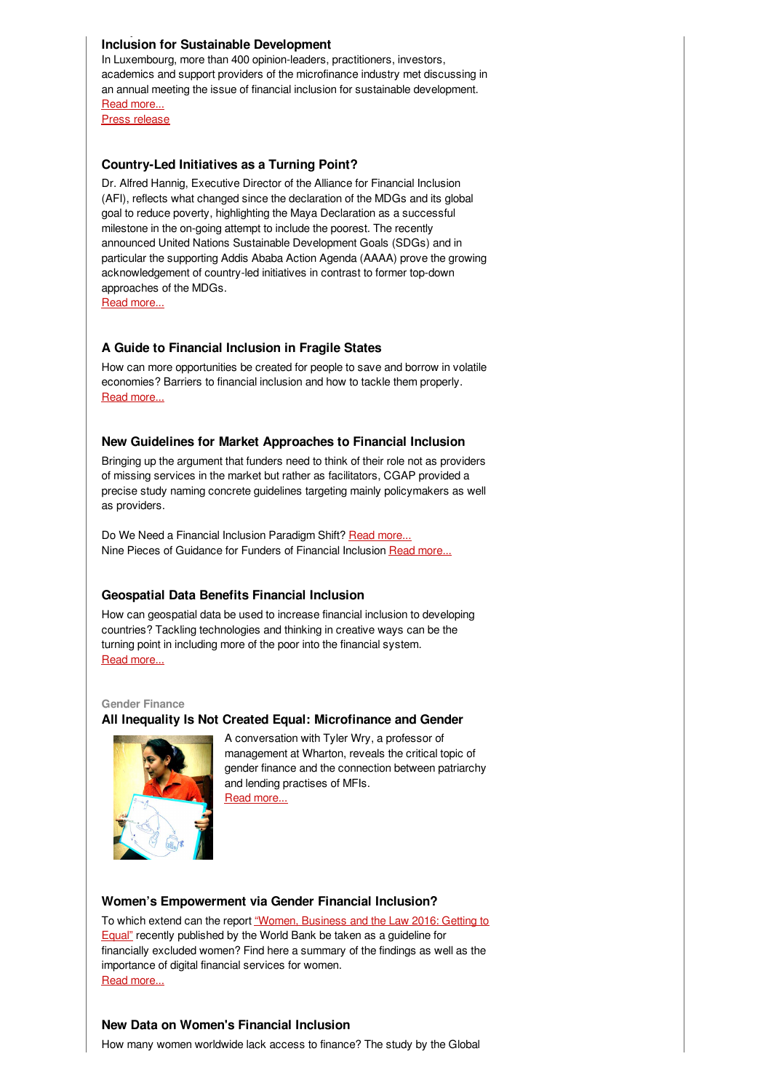### **Inclusion for Sustainable Development**

In Luxembourg, more than 400 opinion-leaders, practitioners, investors, academics and support providers of the microfinance industry met discussing in an annual meeting the issue of financial inclusion for sustainable development. Read [more...](http://www.e-mfp.eu/european-microfinance-week-2015/information)

**European Microfinance Week 2015 Focuses on Financial**

Press [release](http://www.e-mfp.eu/sites/default/files/press/EMW Closing PRL _final.pdf)

### **Country-Led Initiatives as a Turning Point?**

Dr. Alfred Hannig, Executive Director of the Alliance for Financial Inclusion (AFI), reflects what changed since the declaration of the MDGs and its global goal to reduce poverty, highlighting the Maya Declaration as a successful milestone in the on-going attempt to include the poorest. The recently announced United Nations Sustainable Development Goals (SDGs) and in particular the supporting Addis Ababa Action Agenda (AAAA) prove the growing acknowledgement of country-led initiatives in contrast to former top-down approaches of the MDGs.

Read [more...](http://blogs.afi-global.org/2015/11/06/with-the-growing-global-emphasis-on-country-led-initiatives-are-we-on-the-brink-of-a-new-alignment/)

### **A Guide to Financial Inclusion in Fragile States**

How can more opportunities be created for people to save and borrow in volatile economies? Barriers to financial inclusion and how to tackle them properly. Read [more...](http://www.theguardian.com/global-development-professionals-network/2015/nov/10/a-guide-to-financial-inclusion-in-fragile-states)

#### **New Guidelines for Market Approaches to Financial Inclusion**

Bringing up the argument that funders need to think of their role not as providers of missing services in the market but rather as facilitators, CGAP provided a precise study naming concrete guidelines targeting mainly policymakers as well as providers.

Do We Need a Financial Inclusion Paradigm Shift? Read [more...](http://www.cgap.org/blog/do-we-need-financial-inclusion-paradigm-shift) Nine Pieces of Guidance for Funders of Financial Inclusion Read [more...](http://www.cgap.org/blog/nine-pieces-guidance-funders-financial-inclusion)

#### **Geospatial Data Benefits Financial Inclusion**

How can geospatial data be used to increase financial inclusion to developing countries? Tackling technologies and thinking in creative ways can be the turning point in including more of the poor into the financial system. Read [more...](http://blogs.afi-global.org/2015/09/09/the-next-step-in-geospatial-data-for-financial-inclusion-putting-providers-front-and-center/)

### **Gender Finance**

#### **All Inequality Is Not Created Equal: Microfinance and Gender**



A conversation with Tyler Wry, a professor of management at Wharton, reveals the critical topic of gender finance and the connection between patriarchy and lending practises of MFIs. Read [more...](http://knowledge.wharton.upenn.edu/article/all-inequality-is-not-created-equal-microfinance-and-gender/)

### **Women's Empowerment via Gender Financial Inclusion?**

To which extend can the report "Women, Business and the Law 2016: Getting to Equal" recently [published](http://wbl.worldbank.org/~/media/WBG/WBL/Documents/Reports/2016/Women-Business-and-the-Law-2016.pdf) by the World Bank be taken as a guideline for financially excluded women? Find here a summary of the findings as well as the importance of digital financial services for women. Read [more...](http://www.cgap.org/blog/banking-change-enabling-women%E2%80%99s-access-financial-services)

#### **New Data on Women's Financial Inclusion**

How many women worldwide lack access to finance? The study by the Global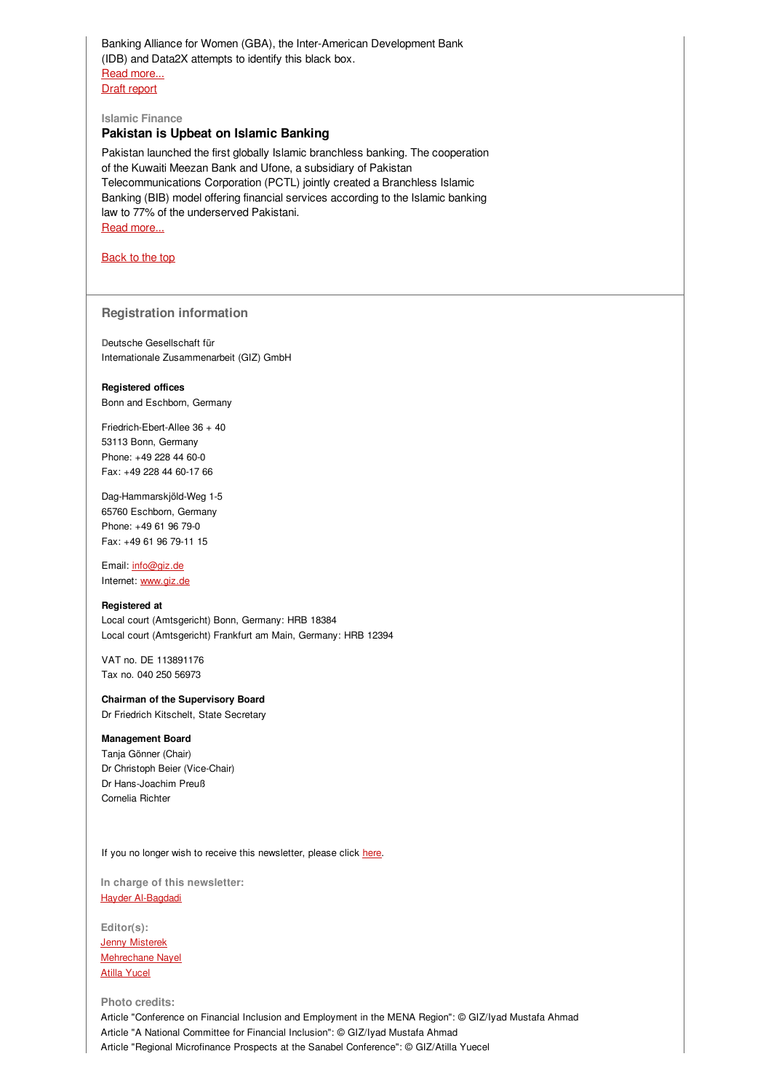Banking Alliance for Women (GBA), the Inter-American Development Bank (IDB) and Data2X attempts to identify this black box. Read [more...](http://www.prnewswire.com/news-releases/new-research-explores-the-value-of-data-to-womens-financial-inclusion-300150320.html) Draft [report](http://www.gbaforwomen.org/download/draft-report-measuring-womens-financial-inclusion/)

#### **Islamic Finance**

#### **Pakistan is Upbeat on Islamic Banking**

Pakistan launched the first globally Islamic branchless banking. The cooperation of the Kuwaiti Meezan Bank and Ufone, a subsidiary of Pakistan Telecommunications Corporation (PCTL) jointly created a Branchless Islamic Banking (BIB) model offering financial services according to the Islamic banking law to 77% of the underserved Pakistani. Read [more...](http://www.khaleejtimes.com/business/banking-finance/pakistan-is-upbeat-on-islamic-banking)

#### [Back](#page-0-0) to the top

#### **Registration information**

**D**eutsche Gesellschaft für Internationale Zusammenarbeit (GIZ) GmbH

#### **Registered offices** Bonn and Eschborn, Germany

Friedrich-Ebert-Allee 36 + 40 53113 Bonn, Germany

Phone: +49 228 44 60-0 Fax: +49 228 44 60-17 66

Dag-Hammarskjöld-Weg 1-5 65760 Eschborn, Germany Phone: +49 61 96 79-0 Fax: +49 61 96 79-11 15

#### Email: [info@giz.de](mailto:info@giz.de) Internet: [www.giz.de](http://www.giz.de)

#### **Registered at**

Local court (Amtsgericht) Bonn, Germany: HRB 18384 Local court (Amtsgericht) Frankfurt am Main, Germany: HRB 12394

VAT no. DE 113891176 Tax no. 040 250 56973

### **Chairman of the Supervisory Board**

Dr Friedrich Kitschelt, State Secretary

#### **Management Board**

Tanja Gönner (Chair) Dr Christoph Beier (Vice-Chair) Dr Hans-Joachim Preuß Cornelia Richter

If you no longer wish to receive this newsletter, please click [here](https://login.mailingwork.de/optout/Optout/test/1593/2177/1/1?sid=dcr23uorn6t9h4islerbcim4j0).

**In charge of this newsletter:** Hayder [Al-Bagdadi](mailto:hayder.al-bagdadi@giz.de?subject=Newsletter feedback)

**Editor(s):** Jenny [Misterek](mailto:Jenny.Misterek@giz.de) [Mehrechane](mailto:Mehrechane.Nayel@giz.de) Nayel Atilla [Yucel](mailto:Atilla.Yuecel@giz.de)

**Photo credits:**

Article "Conference on Financial Inclusion and Employment in the MENA Region": © GIZ/Iyad Mustafa Ahmad Article "A National Committee for Financial Inclusion": © GIZ/Iyad Mustafa Ahmad Article "Regional Microfinance Prospects at the Sanabel Conference": © GIZ/Atilla Yuecel